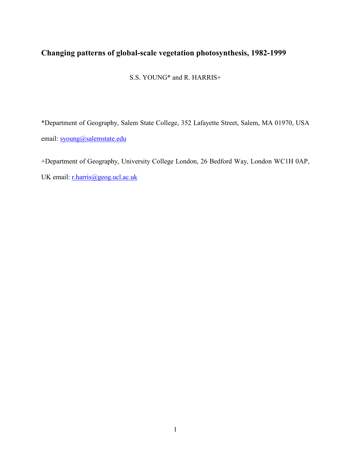# Changing patterns of global-scale vegetation photosynthesis, 1982-1999

S.S. YOUNG\* and R. HARRIS+

\*Department of Geography, Salem State College, 352 Lafayette Street, Salem, MA 01970, USA email: syoung@salemstate.edu

+Department of Geography, University College London, 26 Bedford Way, London WC1H 0AP,

UK email: r.harris@geog.ucl.ac.uk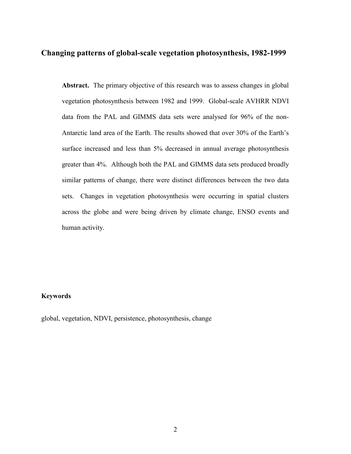## Changing patterns of global-scale vegetation photosynthesis, 1982-1999

Abstract. The primary objective of this research was to assess changes in global vegetation photosynthesis between 1982 and 1999. Global-scale AVHRR NDVI data from the PAL and GIMMS data sets were analysed for 96% of the non-Antarctic land area of the Earth. The results showed that over 30% of the Earth's surface increased and less than 5% decreased in annual average photosynthesis greater than 4%. Although both the PAL and GIMMS data sets produced broadly similar patterns of change, there were distinct differences between the two data sets. Changes in vegetation photosynthesis were occurring in spatial clusters across the globe and were being driven by climate change, ENSO events and human activity.

## Keywords

global, vegetation, NDVI, persistence, photosynthesis, change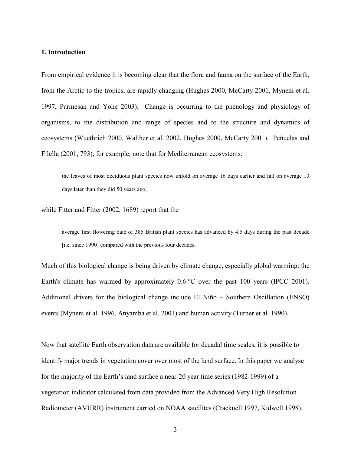## 1. Introduction

From empirical evidence it is becoming clear that the flora and fauna on the surface of the Earth, from the Arctic to the tropics, are rapidly changing (Hughes 2000, McCarty 2001, Myneni et al. 1997, Parmesan and Yohe 2003). Change is occurring to the phenology and physiology of organisms, to the distribution and range of species and to the structure and dynamics of ecosystems (Wuethrich 2000, Walther et al. 2002, Hughes 2000, McCarty 2001). Peñuelas and Filella (2001, 793), for example, note that for Mediterranean ecosystems:

the leaves of most deciduous plant species now unfold on average 16 days earlier and fall on average 13 days later than they did 50 years ago,

while Fitter and Fitter (2002, 1689) report that the

average first flowering date of 385 British plant species has advanced by 4.5 days during the past decade [i.e. since 1990] compared with the previous four decades.

Much of this biological change is being driven by climate change, especially global warming: the Earth's climate has warmed by approximately 0.6 °C over the past 100 years (IPCC 2001). Additional drivers for the biological change include El Niño – Southern Oscillation (ENSO) events (Myneni et al. 1996, Anyamba et al. 2001) and human activity (Turner et al. 1990).

Now that satellite Earth observation data are available for decadal time scales, it is possible to identify major trends in vegetation cover over most of the land surface. In this paper we analyse for the majority of the Earth's land surface a near-20 year time series (1982-1999) of a vegetation indicator calculated from data provided from the Advanced Very High Resolution Radiometer (AVHRR) instrument carried on NOAA satellites (Cracknell 1997, Kidwell 1998).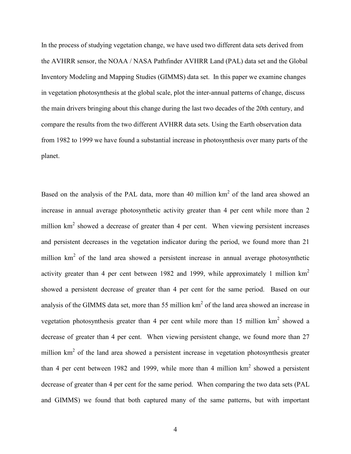In the process of studying vegetation change, we have used two different data sets derived from the AVHRR sensor, the NOAA / NASA Pathfinder AVHRR Land (PAL) data set and the Global Inventory Modeling and Mapping Studies (GIMMS) data set. In this paper we examine changes in vegetation photosynthesis at the global scale, plot the inter-annual patterns of change, discuss the main drivers bringing about this change during the last two decades of the 20th century, and compare the results from the two different AVHRR data sets. Using the Earth observation data from 1982 to 1999 we have found a substantial increase in photosynthesis over many parts of the planet.

Based on the analysis of the PAL data, more than 40 million  $km<sup>2</sup>$  of the land area showed an increase in annual average photosynthetic activity greater than 4 per cent while more than 2 million  $km<sup>2</sup>$  showed a decrease of greater than 4 per cent. When viewing persistent increases and persistent decreases in the vegetation indicator during the period, we found more than 21 million  $km<sup>2</sup>$  of the land area showed a persistent increase in annual average photosynthetic activity greater than 4 per cent between 1982 and 1999, while approximately 1 million  $km<sup>2</sup>$ showed a persistent decrease of greater than 4 per cent for the same period. Based on our analysis of the GIMMS data set, more than 55 million  $km<sup>2</sup>$  of the land area showed an increase in vegetation photosynthesis greater than 4 per cent while more than 15 million  $km<sup>2</sup>$  showed a decrease of greater than 4 per cent. When viewing persistent change, we found more than 27 million  $km<sup>2</sup>$  of the land area showed a persistent increase in vegetation photosynthesis greater than 4 per cent between 1982 and 1999, while more than 4 million  $km^2$  showed a persistent decrease of greater than 4 per cent for the same period. When comparing the two data sets (PAL and GIMMS) we found that both captured many of the same patterns, but with important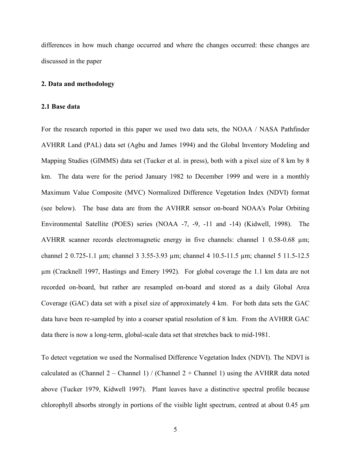differences in how much change occurred and where the changes occurred: these changes are discussed in the paper

#### 2. Data and methodology

#### 2.1 Base data

For the research reported in this paper we used two data sets, the NOAA / NASA Pathfinder AVHRR Land (PAL) data set (Agbu and James 1994) and the Global Inventory Modeling and Mapping Studies (GIMMS) data set (Tucker et al. in press), both with a pixel size of 8 km by 8 km. The data were for the period January 1982 to December 1999 and were in a monthly Maximum Value Composite (MVC) Normalized Difference Vegetation Index (NDVI) format (see below). The base data are from the AVHRR sensor on-board NOAA's Polar Orbiting Environmental Satellite (POES) series (NOAA -7, -9, -11 and -14) (Kidwell, 1998). The AVHRR scanner records electromagnetic energy in five channels: channel 1 0.58-0.68 µm; channel 2 0.725-1.1 µm; channel 3 3.55-3.93 µm; channel 4 10.5-11.5 µm; channel 5 11.5-12.5 µm (Cracknell 1997, Hastings and Emery 1992). For global coverage the 1.1 km data are not recorded on-board, but rather are resampled on-board and stored as a daily Global Area Coverage (GAC) data set with a pixel size of approximately 4 km. For both data sets the GAC data have been re-sampled by into a coarser spatial resolution of 8 km. From the AVHRR GAC data there is now a long-term, global-scale data set that stretches back to mid-1981.

To detect vegetation we used the Normalised Difference Vegetation Index (NDVI). The NDVI is calculated as (Channel 2 – Channel 1) / (Channel 2 + Channel 1) using the AVHRR data noted above (Tucker 1979, Kidwell 1997). Plant leaves have a distinctive spectral profile because chlorophyll absorbs strongly in portions of the visible light spectrum, centred at about 0.45 µm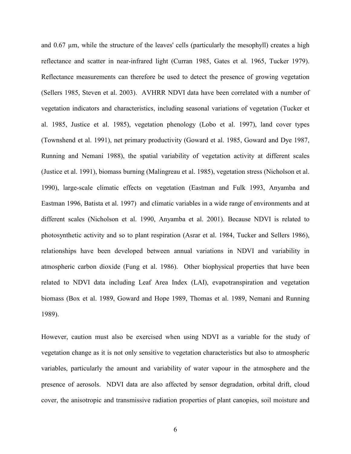and 0.67 um, while the structure of the leaves' cells (particularly the mesophyll) creates a high reflectance and scatter in near-infrared light (Curran 1985, Gates et al. 1965, Tucker 1979). Reflectance measurements can therefore be used to detect the presence of growing vegetation (Sellers 1985, Steven et al. 2003). AVHRR NDVI data have been correlated with a number of vegetation indicators and characteristics, including seasonal variations of vegetation (Tucker et al. 1985, Justice et al. 1985), vegetation phenology (Lobo et al. 1997), land cover types (Townshend et al. 1991), net primary productivity (Goward et al. 1985, Goward and Dye 1987, Running and Nemani 1988), the spatial variability of vegetation activity at different scales (Justice et al. 1991), biomass burning (Malingreau et al. 1985), vegetation stress (Nicholson et al. 1990), large-scale climatic effects on vegetation (Eastman and Fulk 1993, Anyamba and Eastman 1996, Batista et al. 1997) and climatic variables in a wide range of environments and at different scales (Nicholson et al. 1990, Anyamba et al. 2001). Because NDVI is related to photosynthetic activity and so to plant respiration (Asrar et al. 1984, Tucker and Sellers 1986), relationships have been developed between annual variations in NDVI and variability in atmospheric carbon dioxide (Fung et al. 1986). Other biophysical properties that have been related to NDVI data including Leaf Area Index (LAI), evapotranspiration and vegetation biomass (Box et al. 1989, Goward and Hope 1989, Thomas et al. 1989, Nemani and Running 1989).

However, caution must also be exercised when using NDVI as a variable for the study of vegetation change as it is not only sensitive to vegetation characteristics but also to atmospheric variables, particularly the amount and variability of water vapour in the atmosphere and the presence of aerosols. NDVI data are also affected by sensor degradation, orbital drift, cloud cover, the anisotropic and transmissive radiation properties of plant canopies, soil moisture and

6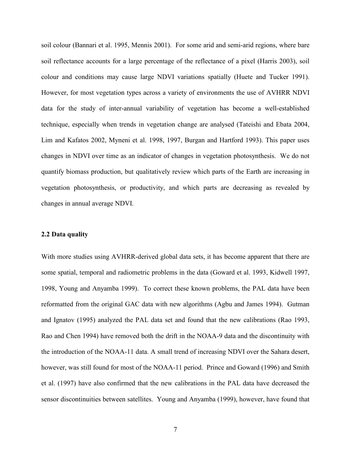soil colour (Bannari et al. 1995, Mennis 2001). For some arid and semi-arid regions, where bare soil reflectance accounts for a large percentage of the reflectance of a pixel (Harris 2003), soil colour and conditions may cause large NDVI variations spatially (Huete and Tucker 1991). However, for most vegetation types across a variety of environments the use of AVHRR NDVI data for the study of inter-annual variability of vegetation has become a well-established technique, especially when trends in vegetation change are analysed (Tateishi and Ebata 2004, Lim and Kafatos 2002, Myneni et al. 1998, 1997, Burgan and Hartford 1993). This paper uses changes in NDVI over time as an indicator of changes in vegetation photosynthesis. We do not quantify biomass production, but qualitatively review which parts of the Earth are increasing in vegetation photosynthesis, or productivity, and which parts are decreasing as revealed by changes in annual average NDVI.

## 2.2 Data quality

With more studies using AVHRR-derived global data sets, it has become apparent that there are some spatial, temporal and radiometric problems in the data (Goward et al. 1993, Kidwell 1997, 1998, Young and Anyamba 1999). To correct these known problems, the PAL data have been reformatted from the original GAC data with new algorithms (Agbu and James 1994). Gutman and Ignatov (1995) analyzed the PAL data set and found that the new calibrations (Rao 1993, Rao and Chen 1994) have removed both the drift in the NOAA-9 data and the discontinuity with the introduction of the NOAA-11 data. A small trend of increasing NDVI over the Sahara desert, however, was still found for most of the NOAA-11 period. Prince and Goward (1996) and Smith et al. (1997) have also confirmed that the new calibrations in the PAL data have decreased the sensor discontinuities between satellites. Young and Anyamba (1999), however, have found that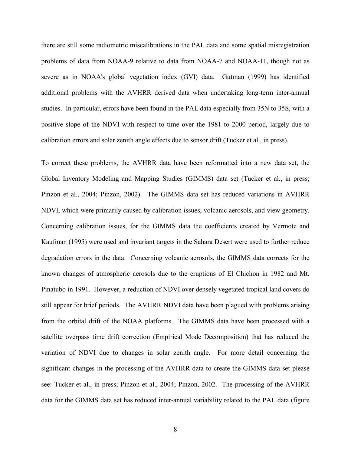there are still some radiometric miscalibrations in the PAL data and some spatial misregistration problems of data from NOAA-9 relative to data from NOAA-7 and NOAA-11, though not as severe as in NOAA's global vegetation index (GVI) data. Gutman (1999) has identified additional problems with the AVHRR derived data when undertaking long-term inter-annual studies. In particular, errors have been found in the PAL data especially from 35N to 35S, with a positive slope of the NDVI with respect to time over the 1981 to 2000 period, largely due to calibration errors and solar zenith angle effects due to sensor drift (Tucker et al., in press).

To correct these problems, the AVHRR data have been reformatted into a new data set, the Global Inventory Modeling and Mapping Studies (GIMMS) data set (Tucker et al., in press; Pinzon et al., 2004; Pinzon, 2002). The GIMMS data set has reduced variations in AVHRR NDVI, which were primarily caused by calibration issues, volcanic aerosols, and view geometry. Concerning calibration issues, for the GIMMS data the coefficients created by Vermote and Kaufman (1995) were used and invariant targets in the Sahara Desert were used to further reduce degradation errors in the data. Concerning volcanic aerosols, the GIMMS data corrects for the known changes of atmospheric aerosols due to the eruptions of El Chichon in 1982 and Mt. Pinatubo in 1991. However, a reduction of NDVI over densely vegetated tropical land covers do still appear for brief periods. The AVHRR NDVI data have been plagued with problems arising from the orbital drift of the NOAA platforms. The GIMMS data have been processed with a satellite overpass time drift correction (Empirical Mode Decomposition) that has reduced the variation of NDVI due to changes in solar zenith angle. For more detail concerning the significant changes in the processing of the AVHRR data to create the GIMMS data set please see: Tucker et al., in press; Pinzon et al., 2004; Pinzon, 2002. The processing of the AVHRR data for the GIMMS data set has reduced inter-annual variability related to the PAL data (figure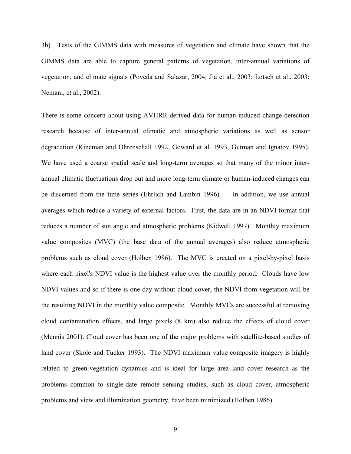3b). Tests of the GIMMS data with measures of vegetation and climate have shown that the GIMMS data are able to capture general patterns of vegetation, inter-annual variations of vegetation, and climate signals (Poveda and Salazar, 2004; Jia et al., 2003; Lotsch et al., 2003; Nemani, et al., 2002).

There is some concern about using AVHRR-derived data for human-induced change detection research because of inter-annual climatic and atmospheric variations as well as sensor degradation (Kineman and Ohrenschall 1992, Goward et al. 1993, Gutman and Ignatov 1995). We have used a coarse spatial scale and long-term averages so that many of the minor interannual climatic fluctuations drop out and more long-term climate or human-induced changes can be discerned from the time series (Ehrlich and Lambin 1996). In addition, we use annual averages which reduce a variety of external factors. First, the data are in an NDVI format that reduces a number of sun angle and atmospheric problems (Kidwell 1997). Monthly maximum value composites (MVC) (the base data of the annual averages) also reduce atmospheric problems such as cloud cover (Holben 1986). The MVC is created on a pixel-by-pixel basis where each pixel's NDVI value is the highest value over the monthly period. Clouds have low NDVI values and so if there is one day without cloud cover, the NDVI from vegetation will be the resulting NDVI in the monthly value composite. Monthly MVCs are successful at removing cloud contamination effects, and large pixels (8 km) also reduce the effects of cloud cover (Mennis 2001). Cloud cover has been one of the major problems with satellite-based studies of land cover (Skole and Tucker 1993). The NDVI maximum value composite imagery is highly related to green-vegetation dynamics and is ideal for large area land cover research as the problems common to single-date remote sensing studies, such as cloud cover, atmospheric problems and view and illumination geometry, have been minimized (Holben 1986).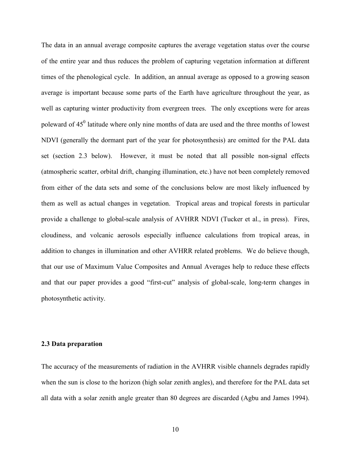The data in an annual average composite captures the average vegetation status over the course of the entire year and thus reduces the problem of capturing vegetation information at different times of the phenological cycle. In addition, an annual average as opposed to a growing season average is important because some parts of the Earth have agriculture throughout the year, as well as capturing winter productivity from evergreen trees. The only exceptions were for areas poleward of  $45^{\circ}$  latitude where only nine months of data are used and the three months of lowest NDVI (generally the dormant part of the year for photosynthesis) are omitted for the PAL data set (section 2.3 below). However, it must be noted that all possible non-signal effects (atmospheric scatter, orbital drift, changing illumination, etc.) have not been completely removed from either of the data sets and some of the conclusions below are most likely influenced by them as well as actual changes in vegetation. Tropical areas and tropical forests in particular provide a challenge to global-scale analysis of AVHRR NDVI (Tucker et al., in press). Fires, cloudiness, and volcanic aerosols especially influence calculations from tropical areas, in addition to changes in illumination and other AVHRR related problems. We do believe though, that our use of Maximum Value Composites and Annual Averages help to reduce these effects and that our paper provides a good "first-cut" analysis of global-scale, long-term changes in photosynthetic activity.

## 2.3 Data preparation

The accuracy of the measurements of radiation in the AVHRR visible channels degrades rapidly when the sun is close to the horizon (high solar zenith angles), and therefore for the PAL data set all data with a solar zenith angle greater than 80 degrees are discarded (Agbu and James 1994).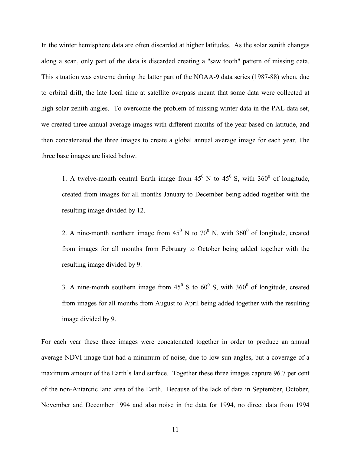In the winter hemisphere data are often discarded at higher latitudes. As the solar zenith changes along a scan, only part of the data is discarded creating a "saw tooth" pattern of missing data. This situation was extreme during the latter part of the NOAA-9 data series (1987-88) when, due to orbital drift, the late local time at satellite overpass meant that some data were collected at high solar zenith angles. To overcome the problem of missing winter data in the PAL data set, we created three annual average images with different months of the year based on latitude, and then concatenated the three images to create a global annual average image for each year. The three base images are listed below.

1. A twelve-month central Earth image from  $45^{\circ}$  N to  $45^{\circ}$  S, with  $360^{\circ}$  of longitude, created from images for all months January to December being added together with the resulting image divided by 12.

2. A nine-month northern image from  $45^{\circ}$  N to  $70^{\circ}$  N, with  $360^{\circ}$  of longitude, created from images for all months from February to October being added together with the resulting image divided by 9.

3. A nine-month southern image from  $45^{\circ}$  S to  $60^{\circ}$  S, with  $360^{\circ}$  of longitude, created from images for all months from August to April being added together with the resulting image divided by 9.

For each year these three images were concatenated together in order to produce an annual average NDVI image that had a minimum of noise, due to low sun angles, but a coverage of a maximum amount of the Earth's land surface. Together these three images capture 96.7 per cent of the non-Antarctic land area of the Earth. Because of the lack of data in September, October, November and December 1994 and also noise in the data for 1994, no direct data from 1994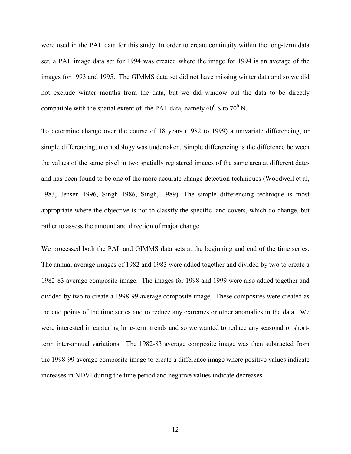were used in the PAL data for this study. In order to create continuity within the long-term data set, a PAL image data set for 1994 was created where the image for 1994 is an average of the images for 1993 and 1995. The GIMMS data set did not have missing winter data and so we did not exclude winter months from the data, but we did window out the data to be directly compatible with the spatial extent of the PAL data, namely  $60^{\circ}$  S to  $70^{\circ}$  N.

To determine change over the course of 18 years (1982 to 1999) a univariate differencing, or simple differencing, methodology was undertaken. Simple differencing is the difference between the values of the same pixel in two spatially registered images of the same area at different dates and has been found to be one of the more accurate change detection techniques (Woodwell et al, 1983, Jensen 1996, Singh 1986, Singh, 1989). The simple differencing technique is most appropriate where the objective is not to classify the specific land covers, which do change, but rather to assess the amount and direction of major change.

We processed both the PAL and GIMMS data sets at the beginning and end of the time series. The annual average images of 1982 and 1983 were added together and divided by two to create a 1982-83 average composite image. The images for 1998 and 1999 were also added together and divided by two to create a 1998-99 average composite image. These composites were created as the end points of the time series and to reduce any extremes or other anomalies in the data. We were interested in capturing long-term trends and so we wanted to reduce any seasonal or shortterm inter-annual variations. The 1982-83 average composite image was then subtracted from the 1998-99 average composite image to create a difference image where positive values indicate increases in NDVI during the time period and negative values indicate decreases.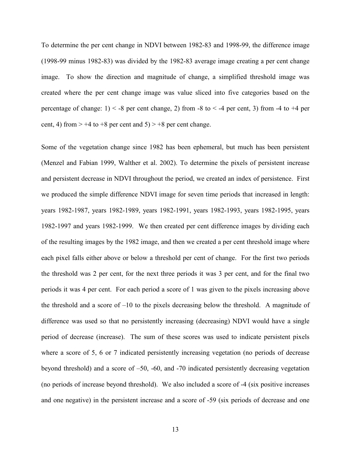To determine the per cent change in NDVI between 1982-83 and 1998-99, the difference image (1998-99 minus 1982-83) was divided by the 1982-83 average image creating a per cent change image. To show the direction and magnitude of change, a simplified threshold image was created where the per cent change image was value sliced into five categories based on the percentage of change:  $1$   $\leq$  -8 per cent change, 2) from -8 to  $\leq$  -4 per cent, 3) from -4 to +4 per cent, 4) from  $> +4$  to  $+8$  per cent and  $5) > +8$  per cent change.

Some of the vegetation change since 1982 has been ephemeral, but much has been persistent (Menzel and Fabian 1999, Walther et al. 2002). To determine the pixels of persistent increase and persistent decrease in NDVI throughout the period, we created an index of persistence. First we produced the simple difference NDVI image for seven time periods that increased in length: years 1982-1987, years 1982-1989, years 1982-1991, years 1982-1993, years 1982-1995, years 1982-1997 and years 1982-1999. We then created per cent difference images by dividing each of the resulting images by the 1982 image, and then we created a per cent threshold image where each pixel falls either above or below a threshold per cent of change. For the first two periods the threshold was 2 per cent, for the next three periods it was 3 per cent, and for the final two periods it was 4 per cent. For each period a score of 1 was given to the pixels increasing above the threshold and a score of –10 to the pixels decreasing below the threshold. A magnitude of difference was used so that no persistently increasing (decreasing) NDVI would have a single period of decrease (increase). The sum of these scores was used to indicate persistent pixels where a score of 5, 6 or 7 indicated persistently increasing vegetation (no periods of decrease beyond threshold) and a score of –50, -60, and -70 indicated persistently decreasing vegetation (no periods of increase beyond threshold). We also included a score of -4 (six positive increases and one negative) in the persistent increase and a score of -59 (six periods of decrease and one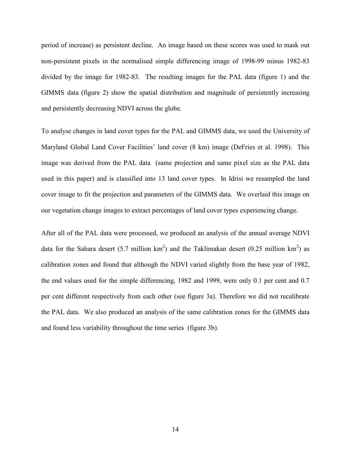period of increase) as persistent decline. An image based on these scores was used to mask out non-persistent pixels in the normalised simple differencing image of 1998-99 minus 1982-83 divided by the image for 1982-83. The resulting images for the PAL data (figure 1) and the GIMMS data (figure 2) show the spatial distribution and magnitude of persistently increasing and persistently decreasing NDVI across the globe.

To analyse changes in land cover types for the PAL and GIMMS data, we used the University of Maryland Global Land Cover Facilities' land cover (8 km) image (DeFries et al. 1998). This image was derived from the PAL data (same projection and same pixel size as the PAL data used in this paper) and is classified into 13 land cover types. In Idrisi we resampled the land cover image to fit the projection and parameters of the GIMMS data. We overlaid this image on our vegetation change images to extract percentages of land cover types experiencing change.

After all of the PAL data were processed, we produced an analysis of the annual average NDVI data for the Sahara desert (5.7 million  $km^2$ ) and the Taklimakan desert (0.25 million  $km^2$ ) as calibration zones and found that although the NDVI varied slightly from the base year of 1982, the end values used for the simple differencing, 1982 and 1999, were only 0.1 per cent and 0.7 per cent different respectively from each other (see figure 3a). Therefore we did not recalibrate the PAL data. We also produced an analysis of the same calibration zones for the GIMMS data and found less variability throughout the time series (figure 3b).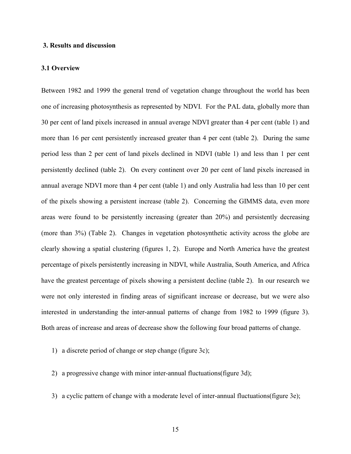## 3. Results and discussion

#### 3.1 Overview

Between 1982 and 1999 the general trend of vegetation change throughout the world has been one of increasing photosynthesis as represented by NDVI. For the PAL data, globally more than 30 per cent of land pixels increased in annual average NDVI greater than 4 per cent (table 1) and more than 16 per cent persistently increased greater than 4 per cent (table 2). During the same period less than 2 per cent of land pixels declined in NDVI (table 1) and less than 1 per cent persistently declined (table 2). On every continent over 20 per cent of land pixels increased in annual average NDVI more than 4 per cent (table 1) and only Australia had less than 10 per cent of the pixels showing a persistent increase (table 2). Concerning the GIMMS data, even more areas were found to be persistently increasing (greater than 20%) and persistently decreasing (more than 3%) (Table 2). Changes in vegetation photosynthetic activity across the globe are clearly showing a spatial clustering (figures 1, 2). Europe and North America have the greatest percentage of pixels persistently increasing in NDVI, while Australia, South America, and Africa have the greatest percentage of pixels showing a persistent decline (table 2). In our research we were not only interested in finding areas of significant increase or decrease, but we were also interested in understanding the inter-annual patterns of change from 1982 to 1999 (figure 3). Both areas of increase and areas of decrease show the following four broad patterns of change.

- 1) a discrete period of change or step change (figure 3c);
- 2) a progressive change with minor inter-annual fluctuations(figure 3d);
- 3) a cyclic pattern of change with a moderate level of inter-annual fluctuations(figure 3e);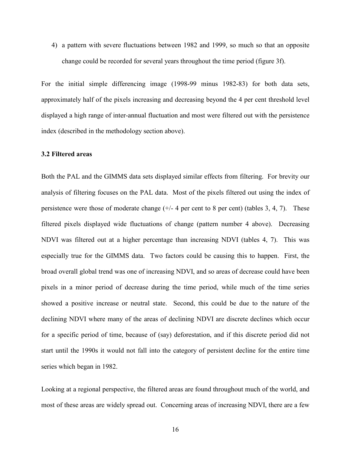4) a pattern with severe fluctuations between 1982 and 1999, so much so that an opposite change could be recorded for several years throughout the time period (figure 3f).

For the initial simple differencing image (1998-99 minus 1982-83) for both data sets, approximately half of the pixels increasing and decreasing beyond the 4 per cent threshold level displayed a high range of inter-annual fluctuation and most were filtered out with the persistence index (described in the methodology section above).

## 3.2 Filtered areas

Both the PAL and the GIMMS data sets displayed similar effects from filtering. For brevity our analysis of filtering focuses on the PAL data. Most of the pixels filtered out using the index of persistence were those of moderate change  $(+/- 4$  per cent to 8 per cent) (tables 3, 4, 7). These filtered pixels displayed wide fluctuations of change (pattern number 4 above). Decreasing NDVI was filtered out at a higher percentage than increasing NDVI (tables 4, 7). This was especially true for the GIMMS data. Two factors could be causing this to happen. First, the broad overall global trend was one of increasing NDVI, and so areas of decrease could have been pixels in a minor period of decrease during the time period, while much of the time series showed a positive increase or neutral state. Second, this could be due to the nature of the declining NDVI where many of the areas of declining NDVI are discrete declines which occur for a specific period of time, because of (say) deforestation, and if this discrete period did not start until the 1990s it would not fall into the category of persistent decline for the entire time series which began in 1982.

Looking at a regional perspective, the filtered areas are found throughout much of the world, and most of these areas are widely spread out. Concerning areas of increasing NDVI, there are a few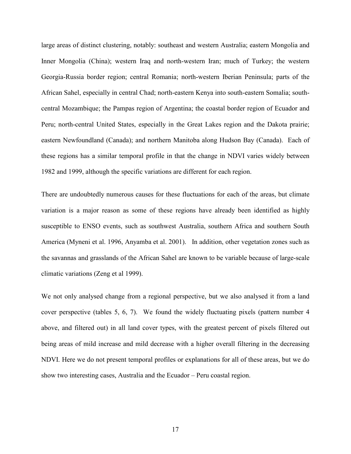large areas of distinct clustering, notably: southeast and western Australia; eastern Mongolia and Inner Mongolia (China); western Iraq and north-western Iran; much of Turkey; the western Georgia-Russia border region; central Romania; north-western Iberian Peninsula; parts of the African Sahel, especially in central Chad; north-eastern Kenya into south-eastern Somalia; southcentral Mozambique; the Pampas region of Argentina; the coastal border region of Ecuador and Peru; north-central United States, especially in the Great Lakes region and the Dakota prairie; eastern Newfoundland (Canada); and northern Manitoba along Hudson Bay (Canada). Each of these regions has a similar temporal profile in that the change in NDVI varies widely between 1982 and 1999, although the specific variations are different for each region.

There are undoubtedly numerous causes for these fluctuations for each of the areas, but climate variation is a major reason as some of these regions have already been identified as highly susceptible to ENSO events, such as southwest Australia, southern Africa and southern South America (Myneni et al. 1996, Anyamba et al. 2001). In addition, other vegetation zones such as the savannas and grasslands of the African Sahel are known to be variable because of large-scale climatic variations (Zeng et al 1999).

We not only analysed change from a regional perspective, but we also analysed it from a land cover perspective (tables 5, 6, 7). We found the widely fluctuating pixels (pattern number 4 above, and filtered out) in all land cover types, with the greatest percent of pixels filtered out being areas of mild increase and mild decrease with a higher overall filtering in the decreasing NDVI. Here we do not present temporal profiles or explanations for all of these areas, but we do show two interesting cases, Australia and the Ecuador – Peru coastal region.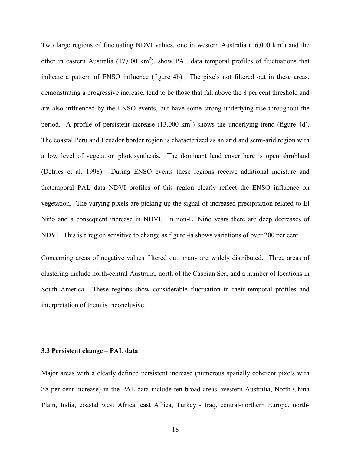Two large regions of fluctuating NDVI values, one in western Australia  $(16,000 \text{ km}^2)$  and the other in eastern Australia  $(17,000 \text{ km}^2)$ , show PAL data temporal profiles of fluctuations that indicate a pattern of ENSO influence (figure 4b). The pixels not filtered out in these areas, demonstrating a progressive increase, tend to be those that fall above the 8 per cent threshold and are also influenced by the ENSO events, but have some strong underlying rise throughout the period. A profile of persistent increase  $(13,000 \text{ km}^2)$  shows the underlying trend (figure 4d). The coastal Peru and Ecuador border region is characterized as an arid and semi-arid region with a low level of vegetation photosynthesis. The dominant land cover here is open shrubland (Defries et al. 1998). During ENSO events these regions receive additional moisture and thetemporal PAL data NDVI profiles of this region clearly reflect the ENSO influence on vegetation. The varying pixels are picking up the signal of increased precipitation related to El Niño and a consequent increase in NDVI. In non-El Niño years there are deep decreases of NDVI. This is a region sensitive to change as figure 4a shows variations of over 200 per cent.

Concerning areas of negative values filtered out, many are widely distributed. Three areas of clustering include north-central Australia, north of the Caspian Sea, and a number of locations in South America. These regions show considerable fluctuation in their temporal profiles and interpretation of them is inconclusive.

#### 3.3 Persistent change – PAL data

Major areas with a clearly defined persistent increase (numerous spatially coherent pixels with >8 per cent increase) in the PAL data include ten broad areas: western Australia, North China Plain, India, coastal west Africa, east Africa, Turkey - Iraq, central-northern Europe, north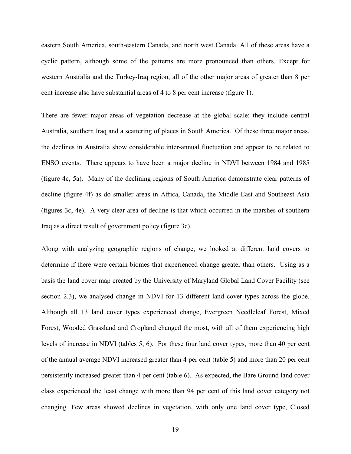eastern South America, south-eastern Canada, and north west Canada. All of these areas have a cyclic pattern, although some of the patterns are more pronounced than others. Except for western Australia and the Turkey-Iraq region, all of the other major areas of greater than 8 per cent increase also have substantial areas of 4 to 8 per cent increase (figure 1).

There are fewer major areas of vegetation decrease at the global scale: they include central Australia, southern Iraq and a scattering of places in South America. Of these three major areas, the declines in Australia show considerable inter-annual fluctuation and appear to be related to ENSO events. There appears to have been a major decline in NDVI between 1984 and 1985 (figure 4c, 5a). Many of the declining regions of South America demonstrate clear patterns of decline (figure 4f) as do smaller areas in Africa, Canada, the Middle East and Southeast Asia (figures 3c, 4e). A very clear area of decline is that which occurred in the marshes of southern Iraq as a direct result of government policy (figure 3c).

Along with analyzing geographic regions of change, we looked at different land covers to determine if there were certain biomes that experienced change greater than others. Using as a basis the land cover map created by the University of Maryland Global Land Cover Facility (see section 2.3), we analysed change in NDVI for 13 different land cover types across the globe. Although all 13 land cover types experienced change, Evergreen Needleleaf Forest, Mixed Forest, Wooded Grassland and Cropland changed the most, with all of them experiencing high levels of increase in NDVI (tables 5, 6). For these four land cover types, more than 40 per cent of the annual average NDVI increased greater than 4 per cent (table 5) and more than 20 per cent persistently increased greater than 4 per cent (table 6). As expected, the Bare Ground land cover class experienced the least change with more than 94 per cent of this land cover category not changing. Few areas showed declines in vegetation, with only one land cover type, Closed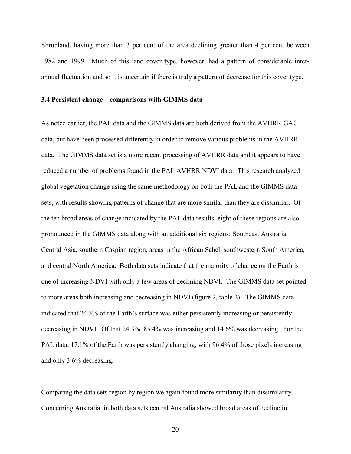Shrubland, having more than 3 per cent of the area declining greater than 4 per cent between 1982 and 1999. Much of this land cover type, however, had a pattern of considerable interannual fluctuation and so it is uncertain if there is truly a pattern of decrease for this cover type.

#### 3.4 Persistent change – comparisons with GIMMS data

As noted earlier, the PAL data and the GIMMS data are both derived from the AVHRR GAC data, but have been processed differently in order to remove various problems in the AVHRR data. The GIMMS data set is a more recent processing of AVHRR data and it appears to have reduced a number of problems found in the PAL AVHRR NDVI data. This research analyzed global vegetation change using the same methodology on both the PAL and the GIMMS data sets, with results showing patterns of change that are more similar than they are dissimilar. Of the ten broad areas of change indicated by the PAL data results, eight of these regions are also pronounced in the GIMMS data along with an additional six regions: Southeast Australia, Central Asia, southern Caspian region, areas in the African Sahel, southwestern South America, and central North America. Both data sets indicate that the majority of change on the Earth is one of increasing NDVI with only a few areas of declining NDVI. The GIMMS data set pointed to more areas both increasing and decreasing in NDVI (figure 2, table 2). The GIMMS data indicated that 24.3% of the Earth's surface was either persistently increasing or persistently decreasing in NDVI. Of that 24.3%, 85.4% was increasing and 14.6% was decreasing. For the PAL data, 17.1% of the Earth was persistently changing, with 96.4% of those pixels increasing and only 3.6% decreasing.

Comparing the data sets region by region we again found more similarity than dissimilarity. Concerning Australia, in both data sets central Australia showed broad areas of decline in

20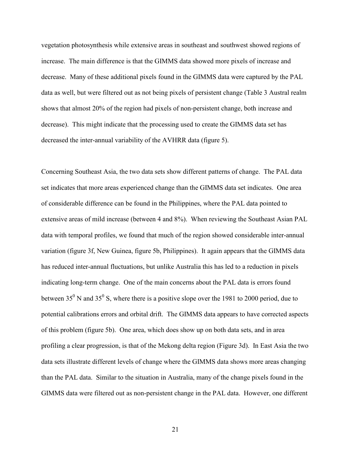vegetation photosynthesis while extensive areas in southeast and southwest showed regions of increase. The main difference is that the GIMMS data showed more pixels of increase and decrease. Many of these additional pixels found in the GIMMS data were captured by the PAL data as well, but were filtered out as not being pixels of persistent change (Table 3 Austral realm shows that almost 20% of the region had pixels of non-persistent change, both increase and decrease). This might indicate that the processing used to create the GIMMS data set has decreased the inter-annual variability of the AVHRR data (figure 5).

Concerning Southeast Asia, the two data sets show different patterns of change. The PAL data set indicates that more areas experienced change than the GIMMS data set indicates. One area of considerable difference can be found in the Philippines, where the PAL data pointed to extensive areas of mild increase (between 4 and 8%). When reviewing the Southeast Asian PAL data with temporal profiles, we found that much of the region showed considerable inter-annual variation (figure 3f, New Guinea, figure 5b, Philippines). It again appears that the GIMMS data has reduced inter-annual fluctuations, but unlike Australia this has led to a reduction in pixels indicating long-term change. One of the main concerns about the PAL data is errors found between 35<sup>0</sup> N and 35<sup>0</sup> S, where there is a positive slope over the 1981 to 2000 period, due to potential calibrations errors and orbital drift. The GIMMS data appears to have corrected aspects of this problem (figure 5b). One area, which does show up on both data sets, and in area profiling a clear progression, is that of the Mekong delta region (Figure 3d). In East Asia the two data sets illustrate different levels of change where the GIMMS data shows more areas changing than the PAL data. Similar to the situation in Australia, many of the change pixels found in the GIMMS data were filtered out as non-persistent change in the PAL data. However, one different

21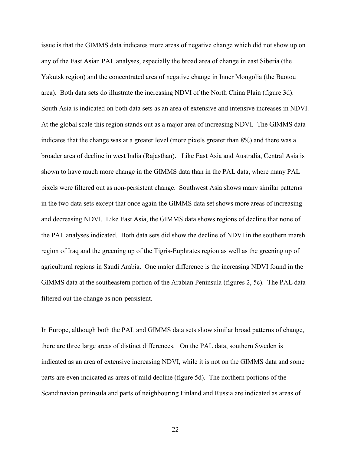issue is that the GIMMS data indicates more areas of negative change which did not show up on any of the East Asian PAL analyses, especially the broad area of change in east Siberia (the Yakutsk region) and the concentrated area of negative change in Inner Mongolia (the Baotou area). Both data sets do illustrate the increasing NDVI of the North China Plain (figure 3d). South Asia is indicated on both data sets as an area of extensive and intensive increases in NDVI. At the global scale this region stands out as a major area of increasing NDVI. The GIMMS data indicates that the change was at a greater level (more pixels greater than 8%) and there was a broader area of decline in west India (Rajasthan). Like East Asia and Australia, Central Asia is shown to have much more change in the GIMMS data than in the PAL data, where many PAL pixels were filtered out as non-persistent change. Southwest Asia shows many similar patterns in the two data sets except that once again the GIMMS data set shows more areas of increasing and decreasing NDVI. Like East Asia, the GIMMS data shows regions of decline that none of the PAL analyses indicated. Both data sets did show the decline of NDVI in the southern marsh region of Iraq and the greening up of the Tigris-Euphrates region as well as the greening up of agricultural regions in Saudi Arabia. One major difference is the increasing NDVI found in the GIMMS data at the southeastern portion of the Arabian Peninsula (figures 2, 5c). The PAL data filtered out the change as non-persistent.

In Europe, although both the PAL and GIMMS data sets show similar broad patterns of change, there are three large areas of distinct differences. On the PAL data, southern Sweden is indicated as an area of extensive increasing NDVI, while it is not on the GIMMS data and some parts are even indicated as areas of mild decline (figure 5d). The northern portions of the Scandinavian peninsula and parts of neighbouring Finland and Russia are indicated as areas of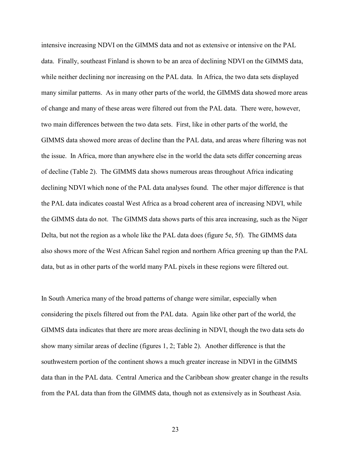intensive increasing NDVI on the GIMMS data and not as extensive or intensive on the PAL data. Finally, southeast Finland is shown to be an area of declining NDVI on the GIMMS data, while neither declining nor increasing on the PAL data. In Africa, the two data sets displayed many similar patterns. As in many other parts of the world, the GIMMS data showed more areas of change and many of these areas were filtered out from the PAL data. There were, however, two main differences between the two data sets. First, like in other parts of the world, the GIMMS data showed more areas of decline than the PAL data, and areas where filtering was not the issue. In Africa, more than anywhere else in the world the data sets differ concerning areas of decline (Table 2). The GIMMS data shows numerous areas throughout Africa indicating declining NDVI which none of the PAL data analyses found. The other major difference is that the PAL data indicates coastal West Africa as a broad coherent area of increasing NDVI, while the GIMMS data do not. The GIMMS data shows parts of this area increasing, such as the Niger Delta, but not the region as a whole like the PAL data does (figure 5e, 5f). The GIMMS data also shows more of the West African Sahel region and northern Africa greening up than the PAL data, but as in other parts of the world many PAL pixels in these regions were filtered out.

In South America many of the broad patterns of change were similar, especially when considering the pixels filtered out from the PAL data. Again like other part of the world, the GIMMS data indicates that there are more areas declining in NDVI, though the two data sets do show many similar areas of decline (figures 1, 2; Table 2). Another difference is that the southwestern portion of the continent shows a much greater increase in NDVI in the GIMMS data than in the PAL data. Central America and the Caribbean show greater change in the results from the PAL data than from the GIMMS data, though not as extensively as in Southeast Asia.

23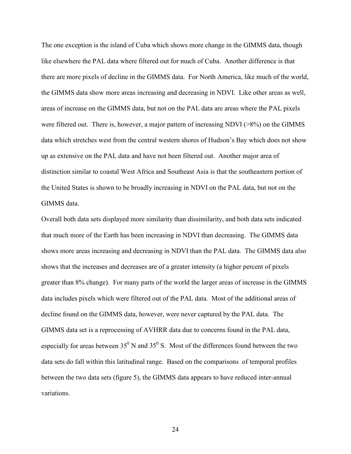The one exception is the island of Cuba which shows more change in the GIMMS data, though like elsewhere the PAL data where filtered out for much of Cuba. Another difference is that there are more pixels of decline in the GIMMS data. For North America, like much of the world, the GIMMS data show more areas increasing and decreasing in NDVI. Like other areas as well, areas of increase on the GIMMS data, but not on the PAL data are areas where the PAL pixels were filtered out. There is, however, a major pattern of increasing NDVI (>8%) on the GIMMS data which stretches west from the central western shores of Hudson's Bay which does not show up as extensive on the PAL data and have not been filtered out. Another major area of distinction similar to coastal West Africa and Southeast Asia is that the southeastern portion of the United States is shown to be broadly increasing in NDVI on the PAL data, but not on the GIMMS data.

Overall both data sets displayed more similarity than dissimilarity, and both data sets indicated that much more of the Earth has been increasing in NDVI than decreasing. The GIMMS data shows more areas increasing and decreasing in NDVI than the PAL data. The GIMMS data also shows that the increases and decreases are of a greater intensity (a higher percent of pixels greater than 8% change). For many parts of the world the larger areas of increase in the GIMMS data includes pixels which were filtered out of the PAL data. Most of the additional areas of decline found on the GIMMS data, however, were never captured by the PAL data. The GIMMS data set is a reprocessing of AVHRR data due to concerns found in the PAL data, especially for areas between  $35^0$  N and  $35^0$  S. Most of the differences found between the two data sets do fall within this latitudinal range. Based on the comparisons of temporal profiles between the two data sets (figure 5), the GIMMS data appears to have reduced inter-annual variations.

24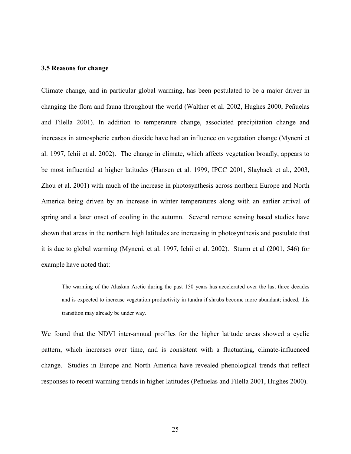#### 3.5 Reasons for change

Climate change, and in particular global warming, has been postulated to be a major driver in changing the flora and fauna throughout the world (Walther et al. 2002, Hughes 2000, Peñuelas and Filella 2001). In addition to temperature change, associated precipitation change and increases in atmospheric carbon dioxide have had an influence on vegetation change (Myneni et al. 1997, Ichii et al. 2002). The change in climate, which affects vegetation broadly, appears to be most influential at higher latitudes (Hansen et al. 1999, IPCC 2001, Slayback et al., 2003, Zhou et al. 2001) with much of the increase in photosynthesis across northern Europe and North America being driven by an increase in winter temperatures along with an earlier arrival of spring and a later onset of cooling in the autumn. Several remote sensing based studies have shown that areas in the northern high latitudes are increasing in photosynthesis and postulate that it is due to global warming (Myneni, et al. 1997, Ichii et al. 2002). Sturm et al (2001, 546) for example have noted that:

The warming of the Alaskan Arctic during the past 150 years has accelerated over the last three decades and is expected to increase vegetation productivity in tundra if shrubs become more abundant; indeed, this transition may already be under way.

We found that the NDVI inter-annual profiles for the higher latitude areas showed a cyclic pattern, which increases over time, and is consistent with a fluctuating, climate-influenced change. Studies in Europe and North America have revealed phenological trends that reflect responses to recent warming trends in higher latitudes (Peñuelas and Filella 2001, Hughes 2000).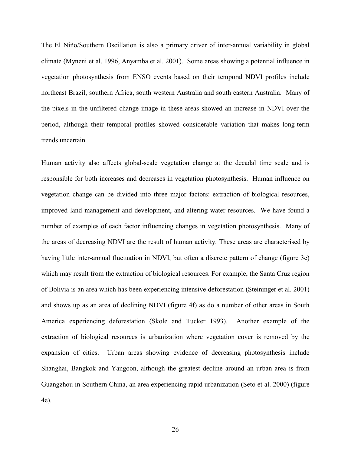The El Niño/Southern Oscillation is also a primary driver of inter-annual variability in global climate (Myneni et al. 1996, Anyamba et al. 2001). Some areas showing a potential influence in vegetation photosynthesis from ENSO events based on their temporal NDVI profiles include northeast Brazil, southern Africa, south western Australia and south eastern Australia. Many of the pixels in the unfiltered change image in these areas showed an increase in NDVI over the period, although their temporal profiles showed considerable variation that makes long-term trends uncertain.

Human activity also affects global-scale vegetation change at the decadal time scale and is responsible for both increases and decreases in vegetation photosynthesis. Human influence on vegetation change can be divided into three major factors: extraction of biological resources, improved land management and development, and altering water resources. We have found a number of examples of each factor influencing changes in vegetation photosynthesis. Many of the areas of decreasing NDVI are the result of human activity. These areas are characterised by having little inter-annual fluctuation in NDVI, but often a discrete pattern of change (figure 3c) which may result from the extraction of biological resources. For example, the Santa Cruz region of Bolivia is an area which has been experiencing intensive deforestation (Steininger et al. 2001) and shows up as an area of declining NDVI (figure 4f) as do a number of other areas in South America experiencing deforestation (Skole and Tucker 1993). Another example of the extraction of biological resources is urbanization where vegetation cover is removed by the expansion of cities. Urban areas showing evidence of decreasing photosynthesis include Shanghai, Bangkok and Yangoon, although the greatest decline around an urban area is from Guangzhou in Southern China, an area experiencing rapid urbanization (Seto et al. 2000) (figure 4e).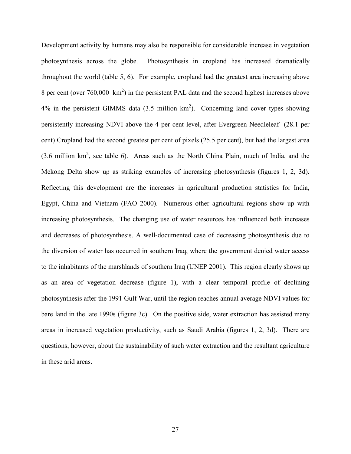Development activity by humans may also be responsible for considerable increase in vegetation photosynthesis across the globe. Photosynthesis in cropland has increased dramatically throughout the world (table 5, 6). For example, cropland had the greatest area increasing above 8 per cent (over  $760,000 \text{ km}^2$ ) in the persistent PAL data and the second highest increases above  $4\%$  in the persistent GIMMS data  $(3.5 \text{ million km}^2)$ . Concerning land cover types showing persistently increasing NDVI above the 4 per cent level, after Evergreen Needleleaf (28.1 per cent) Cropland had the second greatest per cent of pixels (25.5 per cent), but had the largest area  $(3.6 \text{ million km}^2, \text{see table 6})$ . Areas such as the North China Plain, much of India, and the Mekong Delta show up as striking examples of increasing photosynthesis (figures 1, 2, 3d). Reflecting this development are the increases in agricultural production statistics for India, Egypt, China and Vietnam (FAO 2000). Numerous other agricultural regions show up with increasing photosynthesis. The changing use of water resources has influenced both increases and decreases of photosynthesis. A well-documented case of decreasing photosynthesis due to the diversion of water has occurred in southern Iraq, where the government denied water access to the inhabitants of the marshlands of southern Iraq (UNEP 2001). This region clearly shows up as an area of vegetation decrease (figure 1), with a clear temporal profile of declining photosynthesis after the 1991 Gulf War, until the region reaches annual average NDVI values for bare land in the late 1990s (figure 3c). On the positive side, water extraction has assisted many areas in increased vegetation productivity, such as Saudi Arabia (figures 1, 2, 3d). There are questions, however, about the sustainability of such water extraction and the resultant agriculture in these arid areas.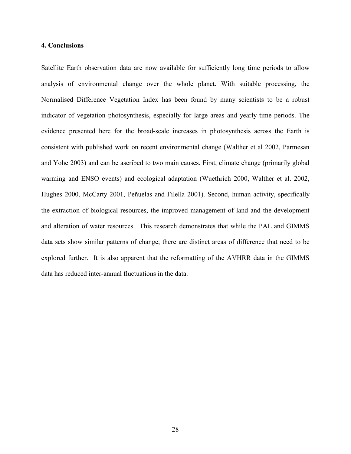## 4. Conclusions

Satellite Earth observation data are now available for sufficiently long time periods to allow analysis of environmental change over the whole planet. With suitable processing, the Normalised Difference Vegetation Index has been found by many scientists to be a robust indicator of vegetation photosynthesis, especially for large areas and yearly time periods. The evidence presented here for the broad-scale increases in photosynthesis across the Earth is consistent with published work on recent environmental change (Walther et al 2002, Parmesan and Yohe 2003) and can be ascribed to two main causes. First, climate change (primarily global warming and ENSO events) and ecological adaptation (Wuethrich 2000, Walther et al. 2002, Hughes 2000, McCarty 2001, Peñuelas and Filella 2001). Second, human activity, specifically the extraction of biological resources, the improved management of land and the development and alteration of water resources. This research demonstrates that while the PAL and GIMMS data sets show similar patterns of change, there are distinct areas of difference that need to be explored further. It is also apparent that the reformatting of the AVHRR data in the GIMMS data has reduced inter-annual fluctuations in the data.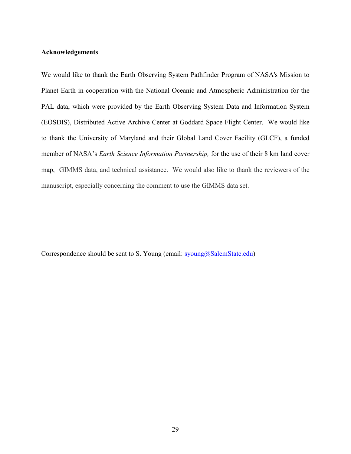## Acknowledgements

We would like to thank the Earth Observing System Pathfinder Program of NASA's Mission to Planet Earth in cooperation with the National Oceanic and Atmospheric Administration for the PAL data, which were provided by the Earth Observing System Data and Information System (EOSDIS), Distributed Active Archive Center at Goddard Space Flight Center. We would like to thank the University of Maryland and their Global Land Cover Facility (GLCF), a funded member of NASA's *Earth Science Information Partnership*, for the use of their 8 km land cover map, GIMMS data, and technical assistance. We would also like to thank the reviewers of the manuscript, especially concerning the comment to use the GIMMS data set.

Correspondence should be sent to S. Young (email:  $\frac{1}{2}$  syoung  $\frac{1}{2}$  SalemState.edu)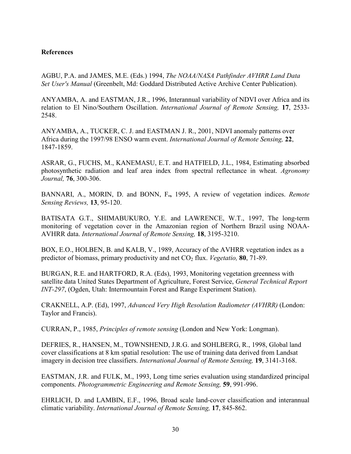## References

AGBU, P.A. and JAMES, M.E. (Eds.) 1994, The NOAA/NASA Pathfinder AVHRR Land Data Set User's Manual (Greenbelt, Md: Goddard Distributed Active Archive Center Publication).

ANYAMBA, A. and EASTMAN, J.R., 1996, Interannual variability of NDVI over Africa and its relation to El Nino/Southern Oscillation. International Journal of Remote Sensing, 17, 2533- 2548.

ANYAMBA, A., TUCKER, C. J. and EASTMAN J. R., 2001, NDVI anomaly patterns over Africa during the 1997/98 ENSO warm event. International Journal of Remote Sensing, 22, 1847-1859.

ASRAR, G., FUCHS, M., KANEMASU, E.T. and HATFIELD, J.L., 1984, Estimating absorbed photosynthetic radiation and leaf area index from spectral reflectance in wheat. Agronomy Journal, 76, 300-306.

BANNARI, A., MORIN, D. and BONN, F., 1995, A review of vegetation indices. Remote Sensing Reviews, 13, 95-120.

BATISATA G.T., SHIMABUKURO, Y.E. and LAWRENCE, W.T., 1997, The long-term monitoring of vegetation cover in the Amazonian region of Northern Brazil using NOAA-AVHRR data. International Journal of Remote Sensing, 18, 3195-3210.

BOX, E.O., HOLBEN, B. and KALB, V., 1989, Accuracy of the AVHRR vegetation index as a predictor of biomass, primary productivity and net  $CO<sub>2</sub>$  flux. *Vegetatio*, **80**, 71-89.

BURGAN, R.E. and HARTFORD, R.A. (Eds), 1993, Monitoring vegetation greenness with satellite data United States Department of Agriculture, Forest Service, General Technical Report INT-297, (Ogden, Utah: Intermountain Forest and Range Experiment Station).

CRAKNELL, A.P. (Ed), 1997, Advanced Very High Resolution Radiometer (AVHRR) (London: Taylor and Francis).

CURRAN, P., 1985, Principles of remote sensing (London and New York: Longman).

DEFRIES, R., HANSEN, M., TOWNSHEND, J.R.G. and SOHLBERG, R., 1998, Global land cover classifications at 8 km spatial resolution: The use of training data derived from Landsat imagery in decision tree classifiers. International Journal of Remote Sensing, 19, 3141-3168.

EASTMAN, J.R. and FULK, M., 1993, Long time series evaluation using standardized principal components. Photogrammetric Engineering and Remote Sensing, 59, 991-996.

EHRLICH, D. and LAMBIN, E.F., 1996, Broad scale land-cover classification and interannual climatic variability. International Journal of Remote Sensing, 17, 845-862.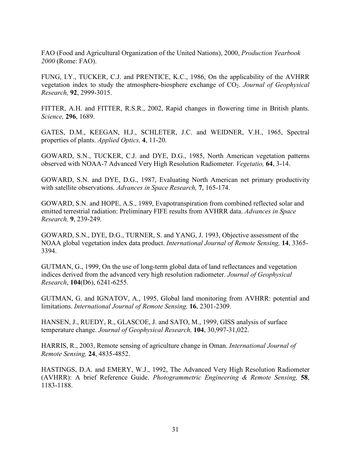FAO (Food and Agricultural Organization of the United Nations), 2000, Production Yearbook 2000 (Rome: FAO).

FUNG, I.Y., TUCKER, C.J. and PRENTICE, K.C., 1986, On the applicability of the AVHRR vegetation index to study the atmosphere-biosphere exchange of  $CO<sub>2</sub>$ . Journal of Geophysical Research, 92, 2999-3015.

FITTER, A.H. and FITTER, R.S.R., 2002, Rapid changes in flowering time in British plants. Science, 296, 1689.

GATES, D.M., KEEGAN, H.J., SCHLETER, J.C. and WEIDNER, V.H., 1965, Spectral properties of plants. Applied Optics, 4, 11-20.

GOWARD, S.N., TUCKER, C.J. and DYE, D.G., 1985, North American vegetation patterns observed with NOAA-7 Advanced Very High Resolution Radiometer. Vegetatio, 64, 3-14.

GOWARD, S.N. and DYE, D.G., 1987, Evaluating North American net primary productivity with satellite observations. Advances in Space Research, 7, 165-174.

GOWARD, S.N. and HOPE, A.S., 1989, Evapotranspiration from combined reflected solar and emitted terrestrial radiation: Preliminary FIFE results from AVHRR data. Advances in Space Research, 9, 239-249.

GOWARD, S.N., DYE, D.G., TURNER, S. and YANG, J. 1993, Objective assessment of the NOAA global vegetation index data product. International Journal of Remote Sensing, 14, 3365- 3394.

GUTMAN, G., 1999, On the use of long-term global data of land reflectances and vegetation indices derived from the advanced very high resolution radiometer. Journal of Geophysical Research, 104(D6), 6241-6255.

GUTMAN, G. and IGNATOV, A., 1995, Global land monitoring from AVHRR: potential and limitations. International Journal of Remote Sensing, 16, 2301-2309.

HANSEN, J., RUEDY, R., GLASCOE, J. and SATO, M., 1999, GISS analysis of surface temperature change. Journal of Geophysical Research, 104, 30,997-31,022.

HARRIS, R., 2003, Remote sensing of agriculture change in Oman. International Journal of Remote Sensing, 24, 4835-4852.

HASTINGS, D.A. and EMERY, W.J., 1992, The Advanced Very High Resolution Radiometer (AVHRR): A brief Reference Guide. Photogrammetric Engineering & Remote Sensing, 58, 1183-1188.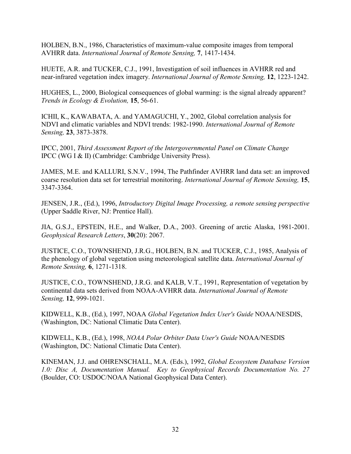HOLBEN, B.N., 1986, Characteristics of maximum-value composite images from temporal AVHRR data. International Journal of Remote Sensing, 7, 1417-1434.

HUETE, A.R. and TUCKER, C.J., 1991, Investigation of soil influences in AVHRR red and near-infrared vegetation index imagery. International Journal of Remote Sensing, 12, 1223-1242.

HUGHES, L., 2000, Biological consequences of global warming: is the signal already apparent? Trends in Ecology & Evolution, 15, 56-61.

ICHII, K., KAWABATA, A. and YAMAGUCHI, Y., 2002, Global correlation analysis for NDVI and climatic variables and NDVI trends: 1982-1990. International Journal of Remote Sensing, 23, 3873-3878.

IPCC, 2001, Third Assessment Report of the Intergovernmental Panel on Climate Change IPCC (WG I & II) (Cambridge: Cambridge University Press).

JAMES, M.E. and KALLURI, S.N.V., 1994, The Pathfinder AVHRR land data set: an improved coarse resolution data set for terrestrial monitoring. International Journal of Remote Sensing, 15, 3347-3364.

JENSEN, J.R., (Ed.), 1996, Introductory Digital Image Processing, a remote sensing perspective (Upper Saddle River, NJ: Prentice Hall).

JIA, G.S.J., EPSTEIN, H.E., and Walker, D.A., 2003. Greening of arctic Alaska, 1981-2001. Geophysical Research Letters, 30(20): 2067.

JUSTICE, C.O., TOWNSHEND, J.R.G., HOLBEN, B.N. and TUCKER, C.J., 1985, Analysis of the phenology of global vegetation using meteorological satellite data. International Journal of Remote Sensing, 6, 1271-1318.

JUSTICE, C.O., TOWNSHEND, J.R.G. and KALB, V.T., 1991, Representation of vegetation by continental data sets derived from NOAA-AVHRR data. International Journal of Remote Sensing, 12, 999-1021.

KIDWELL, K.B., (Ed.), 1997, NOAA Global Vegetation Index User's Guide NOAA/NESDIS, (Washington, DC: National Climatic Data Center).

KIDWELL, K.B., (Ed.), 1998, NOAA Polar Orbiter Data User's Guide NOAA/NESDIS (Washington, DC: National Climatic Data Center).

KINEMAN, J.J. and OHRENSCHALL, M.A. (Eds.), 1992, Global Ecosystem Database Version 1.0: Disc A, Documentation Manual. Key to Geophysical Records Documentation No. 27 (Boulder, CO: USDOC/NOAA National Geophysical Data Center).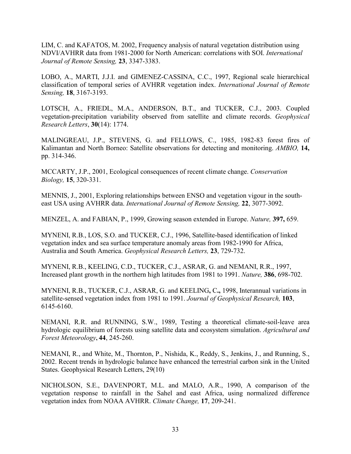LIM, C. and KAFATOS, M. 2002, Frequency analysis of natural vegetation distribution using NDVI/AVHRR data from 1981-2000 for North American: correlations with SOI. International Journal of Remote Sensing, 23, 3347-3383.

LOBO, A., MARTI, J.J.I. and GIMENEZ-CASSINA, C.C., 1997, Regional scale hierarchical classification of temporal series of AVHRR vegetation index. International Journal of Remote Sensing, 18, 3167-3193.

LOTSCH, A., FRIEDL, M.A., ANDERSON, B.T., and TUCKER, C.J., 2003. Coupled vegetation-precipitation variability observed from satellite and climate records. Geophysical Research Letters, 30(14): 1774.

MALINGREAU, J.P., STEVENS, G. and FELLOWS, C., 1985, 1982-83 forest fires of Kalimantan and North Borneo: Satellite observations for detecting and monitoring. AMBIO, 14, pp. 314-346.

MCCARTY, J.P., 2001, Ecological consequences of recent climate change. Conservation Biology, 15, 320-331.

MENNIS, J., 2001, Exploring relationships between ENSO and vegetation vigour in the southeast USA using AVHRR data. International Journal of Remote Sensing, 22, 3077-3092.

MENZEL, A. and FABIAN, P., 1999, Growing season extended in Europe. Nature, 397, 659.

MYNENI, R.B., LOS, S.O. and TUCKER, C.J., 1996, Satellite-based identification of linked vegetation index and sea surface temperature anomaly areas from 1982-1990 for Africa, Australia and South America. Geophysical Research Letters, 23, 729-732.

MYNENI, R.B., KEELING, C.D., TUCKER, C.J., ASRAR, G. and NEMANI, R.R., 1997, Increased plant growth in the northern high latitudes from 1981 to 1991. Nature, 386, 698-702.

MYNENI, R.B., TUCKER, C.J., ASRAR, G. and KEELING, C., 1998, Interannual variations in satellite-sensed vegetation index from 1981 to 1991. Journal of Geophysical Research, 103, 6145-6160.

NEMANI, R.R. and RUNNING, S.W., 1989, Testing a theoretical climate-soil-leave area hydrologic equilibrium of forests using satellite data and ecosystem simulation. Agricultural and Forest Meteorology, 44, 245-260.

NEMANI, R., and White, M., Thornton, P., Nishida, K., Reddy, S., Jenkins, J., and Running, S., 2002. Recent trends in hydrologic balance have enhanced the terrestrial carbon sink in the United States. Geophysical Research Letters, 29(10)

NICHOLSON, S.E., DAVENPORT, M.L. and MALO, A.R., 1990, A comparison of the vegetation response to rainfall in the Sahel and east Africa, using normalized difference vegetation index from NOAA AVHRR. Climate Change, 17, 209-241.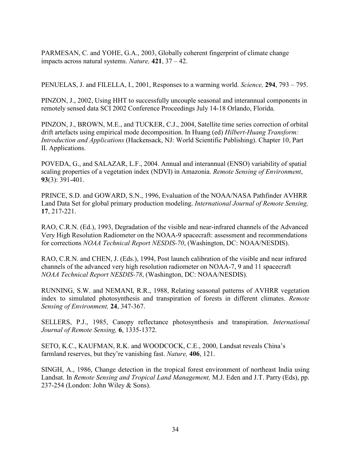PARMESAN, C. and YOHE, G.A., 2003, Globally coherent fingerprint of climate change impacts across natural systems. Nature,  $421$ ,  $37 - 42$ .

PENUELAS, J. and FILELLA, I., 2001, Responses to a warming world. Science, 294, 793 – 795.

PINZON, J., 2002, Using HHT to successfully uncouple seasonal and interannual components in remotely sensed data SCI 2002 Conference Proceedings July 14-18 Orlando, Florida.

PINZON, J., BROWN, M.E., and TUCKER, C.J., 2004, Satellite time series correction of orbital drift artefacts using empirical mode decomposition. In Huang (ed) Hilbert-Huang Transform: Introduction and Applications (Hackensack, NJ: World Scientific Publishing). Chapter 10, Part II. Applications.

POVEDA, G., and SALAZAR, L.F., 2004. Annual and interannual (ENSO) variability of spatial scaling properties of a vegetation index (NDVI) in Amazonia. Remote Sensing of Environment, 93(3): 391-401.

PRINCE, S.D. and GOWARD, S.N., 1996, Evaluation of the NOAA/NASA Pathfinder AVHRR Land Data Set for global primary production modeling. International Journal of Remote Sensing, 17, 217-221.

RAO, C.R.N. (Ed.), 1993, Degradation of the visible and near-infrared channels of the Advanced Very High Resolution Radiometer on the NOAA-9 spacecraft: assessment and recommendations for corrections NOAA Technical Report NESDIS-70, (Washington, DC: NOAA/NESDIS).

RAO, C.R.N. and CHEN, J. (Eds.), 1994, Post launch calibration of the visible and near infrared channels of the advanced very high resolution radiometer on NOAA-7, 9 and 11 spacecraft NOAA Technical Report NESDIS-78, (Washington, DC: NOAA/NESDIS).

RUNNING, S.W. and NEMANI, R.R., 1988, Relating seasonal patterns of AVHRR vegetation index to simulated photosynthesis and transpiration of forests in different climates. Remote Sensing of Environment, 24, 347-367.

SELLERS, P.J., 1985, Canopy reflectance photosynthesis and transpiration. International Journal of Remote Sensing, 6, 1335-1372.

SETO, K.C., KAUFMAN, R.K. and WOODCOCK, C.E., 2000, Landsat reveals China's farmland reserves, but they're vanishing fast. *Nature*, **406**, 121.

SINGH, A., 1986, Change detection in the tropical forest environment of northeast India using Landsat. In Remote Sensing and Tropical Land Management, M.J. Eden and J.T. Parry (Eds), pp. 237-254 (London: John Wiley & Sons).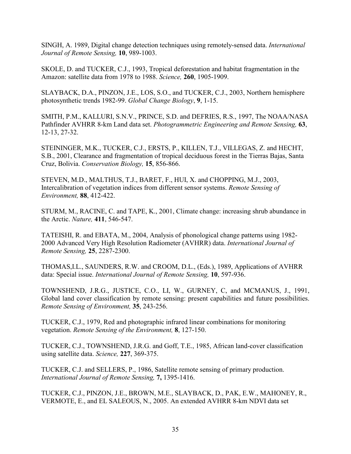SINGH, A. 1989, Digital change detection techniques using remotely-sensed data. International Journal of Remote Sensing, 10, 989-1003.

SKOLE, D. and TUCKER, C.J., 1993, Tropical deforestation and habitat fragmentation in the Amazon: satellite data from 1978 to 1988. Science, 260, 1905-1909.

SLAYBACK, D.A., PINZON, J.E., LOS, S.O., and TUCKER, C.J., 2003, Northern hemisphere photosynthetic trends 1982-99. Global Change Biology, 9, 1-15.

SMITH, P.M., KALLURI, S.N.V., PRINCE, S.D. and DEFRIES, R.S., 1997, The NOAA/NASA Pathfinder AVHRR 8-km Land data set. *Photogrammetric Engineering and Remote Sensing*, 63, 12-13, 27-32.

STEININGER, M.K., TUCKER, C.J., ERSTS, P., KILLEN, T.J., VILLEGAS, Z. and HECHT, S.B., 2001, Clearance and fragmentation of tropical deciduous forest in the Tierras Bajas, Santa Cruz, Bolivia. Conservation Biology, 15, 856-866.

STEVEN, M.D., MALTHUS, T.J., BARET, F., HUI, X. and CHOPPING, M.J., 2003, Intercalibration of vegetation indices from different sensor systems. Remote Sensing of Environment, 88, 412-422.

STURM, M., RACINE, C. and TAPE, K., 2001, Climate change: increasing shrub abundance in the Arctic. Nature, 411, 546-547.

TATEISHI, R. and EBATA, M., 2004, Analysis of phonological change patterns using 1982- 2000 Advanced Very High Resolution Radiometer (AVHRR) data. International Journal of Remote Sensing, 25, 2287-2300.

THOMAS,I.L., SAUNDERS, R.W. and CROOM, D.L., (Eds.), 1989, Applications of AVHRR data: Special issue. International Journal of Remote Sensing, 10, 597-936.

TOWNSHEND, J.R.G., JUSTICE, C.O., LI, W., GURNEY, C, and MCMANUS, J., 1991, Global land cover classification by remote sensing: present capabilities and future possibilities. Remote Sensing of Environment, 35, 243-256.

TUCKER, C.J., 1979, Red and photographic infrared linear combinations for monitoring vegetation. Remote Sensing of the Environment, 8, 127-150.

TUCKER, C.J., TOWNSHEND, J.R.G. and Goff, T.E., 1985, African land-cover classification using satellite data. Science, 227, 369-375.

TUCKER, C.J. and SELLERS, P., 1986, Satellite remote sensing of primary production. International Journal of Remote Sensing, 7, 1395-1416.

TUCKER, C.J., PINZON, J.E., BROWN, M.E., SLAYBACK, D., PAK, E.W., MAHONEY, R., VERMOTE, E., and EL SALEOUS, N., 2005. An extended AVHRR 8-km NDVI data set